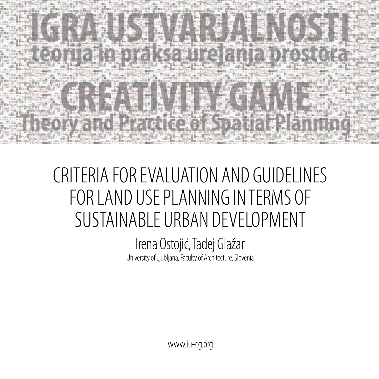

# CRITERIA FOR EVALUATION AND GUIDELINES FOR LAND USE PLANNING IN TERMS OF SUSTAINABLE URBAN DEVELOPMENT

## Irena Ostojić, Tadej Glažar University of Ljubljana, Faculty of Architecture, Slovenia

www.iu-cg.org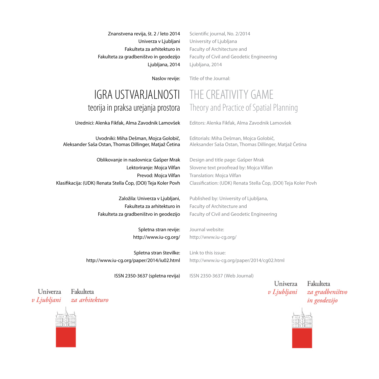Znanstvena revija, št. 2 / leto 2014 Univerza v Ljubljani Fakulteta za arhitekturo in Fakulteta za gradbeništvo in geodezijo Ljubljana, 2014 Scientific journal, No. 2/2014 University of Ljubljana Faculty of Architecture and Faculty of Civil and Geodetic Engineering Ljubljana, 2014

Title of the Journal:

Naslov revije:

### IGRA USTVARJALNOSTI teorija in praksa urejanja prostora

Urednici: Alenka Fikfak, Alma Zavodnik Lamovšek

Uvodniki: Miha Dešman, Mojca Golobič, Aleksander Saša Ostan, Thomas Dillinger, Matjaž Četina

Oblikovanje in naslovnica: Gašper Mrak Lektoriranje: Mojca Vilfan Prevod: Mojca Vilfan Klasifikacija: (UDK) Renata Stella Čop, (DOI) Teja Koler Povh

> Založila: Univerza v Ljubljani, Fakulteta za arhitekturo in Fakulteta za gradbeništvo in geodezijo

> > Spletna stran revije: http://www.iu-cg.org/

Spletna stran številke:

Link to this issue: http://www.iu-cg.org/paper/2014/cg02.html

ISSN 2350-3637 (spletna revija)

ISSN 2350-3637 (Web Journal)

Univerza v Ljubljani

Fakulteta za gradbeništvo in geodezijo



Univerza za arhitekturo v Ljubljani

Fakulteta

THE CREATIVITY GAME Theory and Practice of Spatial Planning

Editors: Alenka Fikfak, Alma Zavodnik Lamovšek

Editorials: Miha Dešman, Mojca Golobič, Aleksander Saša Ostan, Thomas Dillinger, Matjaž Četina

Design and title page: Gašper Mrak Slovene text proofread by: Mojca Vilfan Translation: Mojca Vilfan Classification: (UDK) Renata Stella Čop, (DOI) Teja Koler Povh

Published by: University of Ljubljana, Faculty of Architecture and Faculty of Civil and Geodetic Engineering

Journal website: http://www.iu-cg.org/

http://www.iu-cg.org/paper/2014/iu02.html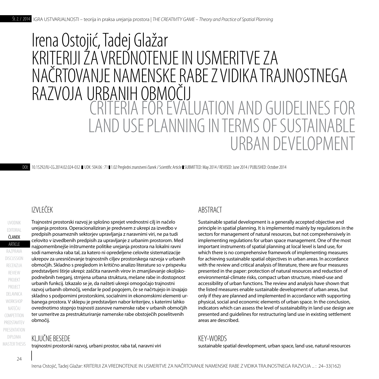## CRITERIA FOR EVALUATION AND GUIDELINES FOR LAND USE PLANNING IN TERMS OF SUSTAINABLE URBAN DEVELOPMENT Irena Ostojić, Tadej Glažar: KRITERIJI ZA VREDNOTENJE IN USMERITVE ZA NAČRTOVANJE NAMENSKE RABE Z VIDIKA TRAJNOSTNEGA RAZVOJA URBANIH OBMOČIJ

DOI: [10.15292/IU-CG.2014.02.024-032](http://dx.doi.org/10.15292/IU-CG.2014.02.024-032) UDK: 504.06 : 71 1.02 Pregledni znanstveni članek / Scientific Article SUBMITTED: May 2014 / REVISED: June 2014 / PUBLISHED: October 2014

#### IZVLEČEK

PROJECT PROJEKT **ARTICLE** ČLANEK **COMPETITION** UVODNIK NATEČAJ **WORKSHOP** DELAVNICA PREDSTAVITEV razprava recenzija EDITORIAL presentation discussion review DIPLOMA **MASTER THESIS**  Trajnostni prostorski razvoj je splošno sprejet vrednostni cilj in načelo urejanja prostora. Operacionaliziran je predvsem z ukrepi za izvedbo v predpisih posameznih sektorjev upravljanja z naravnimi viri, ne pa tudi celovito v izvedbenih predpisih za upravljanje z urbanim prostorom. Med najpomembnejše inštrumente politike urejanja prostora na lokalni ravni sodi namenska raba tal, za katero ni opredeljene celovite sistematizacije ukrepov za uresničevanje trajnostnih ciljev prostorskega razvoja v urbanih območjih. Skladno s pregledom in kritično analizo literature so v prispevku predstavljeni štirje ukrepi: zaščita naravnih virov in zmanjševanje okoljskopodnebnih tveganj, strnjena urbana struktura, mešane rabe in dostopnost urbanih funkcij. Izkazalo se je, da našteti ukrepi omogočajo trajnostni razvoj urbanih območij, vendar le pod pogojem, če se načrtujejo in izvajajo skladno s podpornimi prostorskimi, socialnimi in ekonomskimi elementi urbanega prostora. V sklepu je predstavljen nabor kriterijev, s katerimi lahko ovrednotimo stopnjo trajnosti zasnove namenske rabe v urbanih območjih ter usmeritve za prestrukturiranje namenske rabe obstoječih poselitvenih območij.

#### KLJUČNE BESEDE

trajnostni prostorski razvoj, urbani prostor, raba tal, naravni viri

#### ABSTRACT

Sustainable spatial development is a generally accepted objective and principle in spatial planning. It is implemented mainly by regulations in the sectors for management of natural resources, but not comprehensively in implementing regulations for urban space management. One of the most important instruments of spatial planning at local level is land use, for which there is no comprehensive framework of implementing measures for achieving sustainable spatial objectives in urban areas. In accordance with the review and critical analysis of literature, there are four measures presented in the paper: protection of natural resources and reduction of environmental-climate risks, compact urban structure, mixed-use and accessibility of urban functions. The review and analysis have shown that the listed measures enable sustainable development of urban areas, but only if they are planned and implemented in accordance with supporting physical, social and economic elements of urban space. In the conclusion, indicators which can assess the level of sustainability in land use design are presented and guidelines for restructuring land use in existing settlement areas are described.

#### KEY-WORDS

sustainable spatial development, urban space, land use, natural resources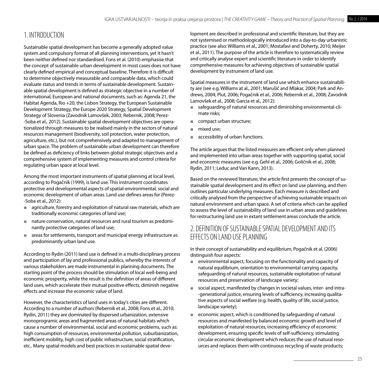#### 1. INTRODUCTION

Sustainable spatial development has become a generally adopted value system and compulsory format of all planning interventions, yet it hasn't been neither defined nor standardised. Fons et al. (2010) emphasise that the concept of sustainable urban development in most cases does not have clearly defined empirical and conceptual baseline. Therefore it is difficult to determine objectively measurable and comparable data, which could evaluate status and trends in terms of sustainable development. Sustainable spatial development is defined as strategic objective in a number of international, European and national documents, such as: Agenda 21, the Habitat Agenda, Rio +20, the Lisbon Strategy, the European Sustainable Development Strategy, the Europe 2020 Strategy, Spatial Development Strategy of Slovenia (Zavodnik Lamovšek, 2003; Rebernik, 2008; Perez- -Soba et al., 2012). Sustainable spatial development objectives are operationalized through measures to be realised mainly in the sectors of natural resources management (biodiversity, soil protection, water protection, agriculture, etc.), but not comprehensively and adapted to management of urban space. The problem of sustainable urban development can therefore be defined as deficiency of links between global strategic objectives and a comprehensive system of implementing measures and control criteria for regulating urban space at local level.

Among the most important instruments of spatial planning at local level, according to Pogačnik (1999), is land use. This instrument coordinates protective and developmental aspects of spatial-environmental, social and economic development of urban areas. Land use defines areas for (Perez- -Soba et al., 2012):

- agriculture, forestry and exploitation of natural raw materials, which are traditionally economic categories of land use;
- nature conservation, natural resources and rural tourism as predominantly protective categories of land use;
- areas for settlements, transport and municipal energy infrastructure as predominantly urban land use.

According to Rydin (2011) land use is defined in a multi-disciplinary process and participation of lay and professional publics, whereby the interests of various stakeholders are made instrumental in planning documents. The starting point of the process should be stimulation of local well-being and economic prosperity, while the result is the definition of areas of different land uses, which accelerate their mutual positive effects, diminish negative effects and increase the economic value of land.

However, the characteristics of land uses in today's cities are different. According to a number of authors (Rebernik et al., 2008; Fons et al., 2010; Rydin, 2011) they are dominated by dispersed urbanization, extensive monoprogramic areas and fragmented areas of natural habitats which cause a number of environmental, social and economic problems, such as: high consumption of resources, environmental pollution, suburbanization, inefficient mobility, high cost of public infrastructure, social stratification, etc.. Many spatial models and best practices in sustainable spatial development are described in professional and scientific literature, but they are not systemised or methodologically introduced into a day-to-day urbanistic practice (see also: Williams et al., 2001; Mostafavi and Doherty, 2010; Meijer et al., 2011). The purpose of the article is therefore to systematically review and critically analyse expert and scientific literature in order to identify comprehensive measures for achieving objectives of sustainable spatial development by instrument of land use.

Spatial measures in the instrument of land use which enhance sustainability are (see e.g. Williams at al., 2001; Marušič and Mlakar, 2004; Park and Andrews, 2004; Plut, 2006; Pogačnik et al., 2006; Rebernik et al., 2008; Zavodnik Lamovšek et al., 2008; Garcia et al., 2012):

- safeguarding of natural resources and diminishing environmental-climate risks;
- compact urban structure:
- mixed use:
- accessibility of urban functions.

The article argues that the listed measures are efficient only when planned and implemented into urban areas together with supporting spatial, social and economic measures (see e.g. Gehl et al., 2006; Goličnik et al., 2008; Rydin, 2011; Leduc and Van Kann, 2013).

Based on the reviewed literature, the article first presents the concept of sustainable spatial development and its effect on land use planning, and then outlines particular underlying measures. Each measure is described and critically analysed from the perspective of achieving sustainable impacts on natural environment and urban space. A set of criteria which can be applied to assess the level of sustainability of land use in urban areas and guidelines for restructuring land use in extant settlement areas conclude the article.

#### 2. DEFINITION OF SUSTAINABLE SPATIAL DEVELOPMENT AND ITS EFFECTS ON LAND USE PLANNING

In their concept of sustainability and equilibrium, Pogačnik et al. (2006) distinguish four aspects:

- environmental aspect, focusing on the functionality and capacity of natural equilibrium, orientation to environmental carrying capacity, safeguarding of natural resources, sustainable exploitation of natural resources and preservation of landscape variety;
- social aspect, manifested by changes in societal values, inter- and intra--generational justice, ensuring levels of sufficiency, increasing qualitative aspects of social welfare (e.g. health, quality of life, social justice, landscape variety);
- economic aspect, which is conditioned by safeguarding of natural resources and manifested by balanced economic growth and level of exploitation of natural resources, increasing efficiency of economic development, ensuring specific levels of self-sufficiency, stimulating circular economic development which reduces the use of natural resources and replaces them with continuous recycling of waste products;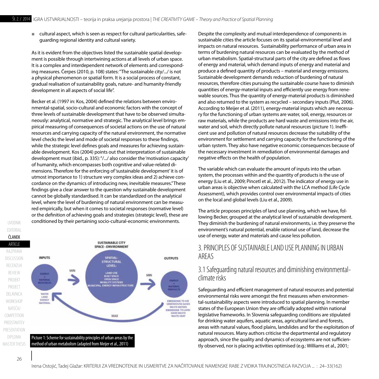■ cultural aspect, which is seen as respect for cultural particularities, safeguarding regional identity and cultural variety.

As it is evident from the objectives listed the sustainable spatial development is possible through intertwining actions at all levels of urban space. It is a complex and interdependent network of elements and corresponding measures. Čerpes (2010, p. 108) states: "The sustainable city/.../ is not a physical phenomenon or spatial form. It is a social process of constant, gradual realisation of sustainability goals, nature- and humanity-friendly development in all aspects of social life".

Becker et al. (1997 in: Kos, 2004) defined the relations between environmental-spatial, socio-cultural and economic factors with the concept of three levels of sustainable development that have to be observed simultaneously: analytical, normative and strategic. The analytical level brings empirical measuring of consequences of societal actions on the use of natural resources and carrying capacity of the natural environment, the normative level checks the level and mode of societal responses to these findings, while the strategic level defines goals and measures for achieving sustainwhile the strategie fever admits goals and measures for definering sustain.<br>able development. Kos (2004) points out that interpretation of sustainable development must (ibid., p. 335): "/.../ also consider the 'motivation capacity' development mast (i.e.d., p. 333). The anse consider the motivation capacity of humanity, which encompasses both cognitive and value-related dimensions. Therefore for the enforcing of 'sustainable development' it is of utmost importance to 1) structure very complex ideas and 2) achieve concordance on the dynamics of introducing new, inevitable measures." These findings give a clear answer to the question why sustainable development cannot be globally standardised. It can be standardized on the analytical level, where the level of burdening of natural environment can be measured empirically, but when it comes to societal responses (normative level) or the definition of achieving goals and strategies (strategic level), these are conditioned by their pertaining socio-cultural-economic environments. comainal action compasses sources interesting capacity of natural resources and capacity of the natural resources and capacity of the natural resources and capacity of the natural resources and capacity of the natural reso



spatial-environmental level and impacts on natural resources. Sustainability performance of urban area in terms

Despite the complexity and mutual interdependence of components in sustainable cities the article focuses on its spatial-environmental level and impacts on natural resources. Sustainability performance of urban area in terms of burdening natural resources can be evaluated by the method of urban metabolism. Spatial-structural parts of the city are defined as flows of energy and material, which demand inputs of energy and material and produce a defined quantity of products – material and energy emissions. Sustainable development demands reduction of burdening of natural resources, therefore cities pursuing the sustainable course have to diminish quantities of energy-material inputs and efficiently use energy from renewable sources. Thus the quantity of energy-material products is diminished and also returned to the system as recycled – secondary inputs (Plut, 2006). According to Meijer et al. (2011), energy-material inputs which are necessary for the functioning of urban systems are water, soil, energy, resources or raw materials, while the products are hard waste and emissions into the air, water and soil, which directly pollute natural resources (picture 1). Inefficient use and pollution of natural resources decrease the suitability of the environment for settlement and carrying capacity for the functioning of the urban system. They also have negative economic consequences because of the necessary investment in remediation of environmental damages and negative effects on the health of population.

The variable which can evaluate the amount of inputs into the urban system, the processes within and the quantity of products is the use of energy (Liu et al., 2009; Pincetl et al., 2012). The indicator of energy use in urban areas is objective when calculated with the LCA method (Life Cycle Assessment), which provides control over environmental impacts of cities on the local and global levels (Liu et al., 2009).

The article proposes principles of land use planning, which we have, following Becker, grouped at the analytical level of sustainable development. They diminish the burdening of natural environments, i.e. they preserve the environment's natural potential, enable rational use of land, decrease the use of energy, water and materials and cause less pollution.

#### 3. PRINCIPLES OF SUSTAINABLE LAND USE PLANNING IN URBAN AREAS

#### 3.1 Safeguarding natural resources and diminishing environmentalclimate risks

Safeguarding and efficient management of natural resources and potential environmental risks were amongst the first measures when environmental-sustainability aspects were introduced to spatial planning. In member states of the European Union they are officially adopted within national legislative frameworks. In Slovenia safeguarding conditions are stipulated for drinking water aquifers, aquatic areas, agricultural land and forests, areas with natural values, flood plains, landslides and for the exploitation of natural resources. Many authors criticise the departmental and regulatory approach, since the quality and dynamics of ecosystems are not sufficiently observed, nor is placing activities optimised (e.g.: Williams et al., 2001;

UVODNIK

EDITORIAL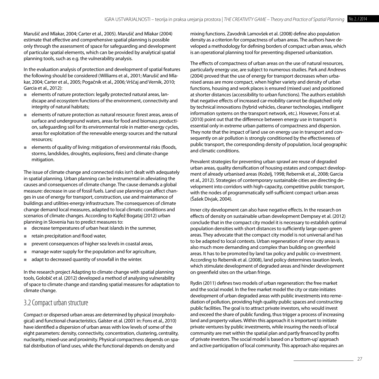Marušič and Mlakar, 2004; Carter et al., 2005). Marušič and Mlakar (2004) estimate that effective and comprehensive spatial planning is possible only through the assessment of space for safeguarding and development of particular spatial elements, which can be provided by analytical spatial planning tools, such as e.g. the vulnerability analysis.

In the evaluation analysis of protection and development of spatial features the following should be considered (Williams et al., 2001; Marušič and Mlakar, 2004; Carter et al., 2005; Pogačnik et al., 2006; Vrščaj and Vernik, 2010; Garcia et al., 2012):

- elements of nature protection: legally protected natural areas, landscape and ecosystem functions of the environment, connectivity and integrity of natural habitats;
- elements of nature protection as natural resource: forest areas, areas of surface and underground waters, areas for food and biomass production, safeguarding soil for its environmental role in matter-energy cycles, areas for exploitation of the renewable energy sources and the natural resources;
- elements of quality of living: mitigation of environmental risks (floods, storms, landslides, droughts, explosions, fires) and climate change mitigation.

The issue of climate change and connected risks isn't dealt with adequately in spatial planning. Urban planning can be instrumental in alleviating the causes and consequences of climate change. The cause demands a global measure: decrease in use of fossil fuels. Land use planning can affect changes in use of energy for transport, construction, use and maintenance of buildings and utilities-energy infrastructure. The consequences of climate change demand local measures, adapted to local climatic conditions and scenarios of climate changes. According to Kajfež Bogataj (2012) urban planning in Slovenia has to predict measures to:

- decrease temperatures of urban heat islands in the summer,
- retain precipitation and flood water,
- prevent consequences of higher sea levels in coastal areas,
- manage water supply for the population and for agriculture,
- adapt to decreased quantity of snowfall in the winter.

In the research project Adapting to climate change with spatial planning tools, Golobič et al. (2012) developed a method of analysing vulnerability of space to climate change and standing spatial measures for adaptation to climate change.

#### 3.2 Compact urban structure

Compact or dispersed urban areas are determined by physical (morphological) and functional characteristics. Galster et al. (2001 in: Fons et al., 2010) have identified a dispersion of urban areas with low levels of some of the eight parameters: density, connectivity, concentration, clustering, centrality, nuclearity, mixed-use and proximity. Physical compactness depends on spatial distribution of land uses, while the functional depends on density and

mixing functions. Zavodnik Lamovšek et al. (2008) define also population density as a criterion for compactness of urban areas. The authors have developed a methodology for defining borders of compact urban areas, which is an operational planning tool for preventing dispersed urbanization.

The effects of compactness of urban areas on the use of natural resources, particularly energy use, are subject to numerous studies. Park and Andrews (2004) proved that the use of energy for transport decreases when urbanised areas are more compact, when higher variety and density of urban functions, housing and work places is ensured (mixed use) and positioned at shorter distances (accessibility to urban functions). The authors establish that negative effects of increased car-mobility cannot be dispatched only by technical innovations (hybrid vehicles, cleaner technologies, intelligent information systems on the transport network, etc.). However, Fons et al. (2010) point out that the difference between energy use in transport is essential only in extreme urban patterns of compactness and dispersion. They note that the impact of land use on energy use in transport and consequently on air pollution is strongly conditioned by the effectiveness of public transport, the corresponding density of population, local geographic and climatic conditions.

Prevalent strategies for preventing urban sprawl are reuse of degraded urban areas, quality densification of housing estates and compact development of already urbanised areas (Koželj, 1998; Rebernik et al., 2008; Garcia et al., 2012). Strategies of contemporary sustainable cities are directing development into corridors with high-capacity, competitive public transport, with the nodes of programmatically self-sufficient compact urban areas (Šašek Divjak, 2004).

Inner city development can also have negative effects. In the research on effects of density on sustainable urban development Dempsey et al. (2012) conclude that in the compact city model it is necessary to establish optimal population densities with short distances to sufficiently large open green areas. They advocate that the compact city model is not universal and has to be adapted to local contexts. Urban regeneration of inner city areas is also much more demanding and complex than building on greenfield areas. It has to be promoted by land tax policy and public co-investment. According to Rebernik et al. (2008), land policy determines taxation levels, which stimulate development of degraded areas and hinder development on greenfield sites on the urban fringe.

Rydin (2011) defines two models of urban regeneration: the free market and the social model. In the free market model the city or state initiates development of urban degraded areas with public investments into remediation of pollution, providing high quality public spaces and constructing public facilities. The goal is to attract private investors, who would invest and exceed the share of public funding, thus trigger a process of increasing land and property values. Within this approach it is important to initiate private ventures by public investments, while insuring the needs of local community are met within the spatial plan and partly financed by profits of private investors. The social model is based on a 'bottom-up' approach and active participation of local community. This approach also requires an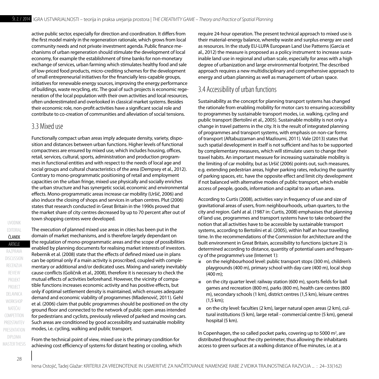active public sector, especially for direction and coordination. It differs from the first model mainly in the regeneration rationale, which grows from local community needs and not private investment agenda. Public finance mechanisms of urban regeneration should stimulate the development of local economy, for example the establishment of time banks for non-monetary exchange of services, urban farming which stimulates healthy food and sale of low-priced food products, micro-crediting schemes for the development of small entrepreneurial initiatives for the financially less-capable groups, initiatives for renewable energy sources, improving the energy performance of buildings, waste recycling, etc. The goal of such projects is economic regeneration of the local population with their own activities and local resources, often underestimated and overlooked in classical market systems. Besides their economic role, non-profit activities have a significant social role and contribute to co-creation of communities and alleviation of social tensions.

#### 3.3 Mixed use

Functionally compact urban areas imply adequate density, variety, disposition and distances between urban functions. Higher levels of functional compactness are ensured by mixed use, which includes housing, offices, retail, services, cultural, sports, administration and production programmes in functional entities and with respect to the needs of local age and social groups and cultural characteristics of the area (Dempsey et al., 2012). Contrary to mono-programmatic positioning of retail and employment capacities on the urban fringe, mixed use physically and socially enriches the urban structure and has synergetic social, economic and environmental effects. Mono-programmatic areas increase car mobility (Uršič, 2006) and also induce the closing of shops and services in urban centres. Plut (2006) states that research conducted in Great Britain in the 1990s proved that the market share of city centres decreased by up to 70 percent after out of town shopping centres were developed.

PROJECT PROJEKT **ARTICLE** ČLANEK COMPETITION UVODNIK NATEČAJ **WORKSHOP** DELAVNICA PREDSTAVITEV razprava recenzija EDITORIAL presentation discussion review DIPLOMA **MASTER THESIS** 

The execution of planned mixed use areas in cities has been put in the domain of market mechanisms, and is therefore largely dependant on the regulation of mono-programmatic areas and the scope of possibilities enabled by planning documents for realising market interests of investors. Rebernik et al. (2008) state that the effects of defined mixed use in plans can be optimal only if a main activity is proscribed, coupled with complementary or additional and/or dedicated uses. Mixing and variety inevitably cause conflicts (Goličnik et al., 2008), therefore it is necessary to check the mutual effects of activities beforehand. However, the vicinity of compatible functions increases economic activity and has positive effects, but only if optimal settlement density is maintained, which ensures adequate demand and economic viability of programmes (Mladenovič, 2011). Gehl et al. (2006) claim that public programmes should be positioned on the city ground floor and connected to the network of public open areas intended for pedestrians and cyclists, previously relieved of parked and moving cars. Such areas are conditioned by good accessibility and sustainable mobility modes, i.e. cycling, walking and public transport.

From the technical point of view, mixed use is the primary condition for achieving cost efficiency of systems for distant heating or cooling, which

require 24-hour operation. The present technical approach to mixed use is their material-energy balance, whereby waste and surplus energy are used as resources. In the study EU-LUPA European Land Use Patterns (Garcia et al., 2012) the measure is proposed as a policy instrument to increase sustainable land use in regional and urban scale, especially for areas with a high degree of urbanization and large environmental footprint. The described approach requires a new multidisciplinary and comprehensive approach to energy and urban planning as well as management of urban space.

#### 3.4 Accessibility of urban functions

Sustainability as the concept for planning transport systems has changed the rationale from enabling mobility for motor cars to ensuring accessibility to programmes by sustainable transport modes, i.e. walking, cycling and public transport (Bertolini et al., 2005). Sustainable mobility is not only a change in travel patterns in the city. It is the result of integrated planning of programmes and transport systems, with emphasis on non-car forms of transport (Aftabuzzaman and Mazloumi, 2011). Vale (2013) states that such spatial development in itself is not sufficient and has to be supported by complementary measures, which will stimulate users to change their travel habits. An important measure for increasing sustainable mobility is the limiting of car mobility, but as Uršič (2006) points out, such measures, e.g. extending pedestrian areas, higher parking rates, reducing the quantity of parking spaces, etc. have the opposite effect and limit city development if not balanced with alternative modes of public transport, which enable access of people, goods, information and capital to an urban area.

According to Curtis (2008), activities vary in frequency of use and size of gravitational areas of users, from neighbourhoods, urban quarters, to the city and region. Gehl at al. (1987 in: Curtis, 2008) emphasises that planning of land use, programmes and transport systems have to take onboard the notion that all activities have to be accessible by sustainable transport systems, according to Bertolini et al. (2005), within half an hour travelling time. In the recommendations of the Commission for architecture and the built environment in Great Britain, accessibility to functions (picture 2) is determined according to distance, quantity of potential users and frequency of the programme's use (Internet 1):

- on the neighbourhood level: public transport stops (300 m), children's playgrounds (400 m), primary school with day care (400 m), local shop (400 m);
- on the city quarter level: railway station (600 m), sports fields for ball games and recreation (800 m), parks (800 m), health care centres (800 m), secondary schools (1 km), district centres (1,5 km), leisure centres (1,5 km);
- on the city level: faculties (2 km), larger natural open areas (2 km), cultural institutions (5 km), large retail - commercial centre (5 km), general hospital (5 km).

In Copenhagen, the so called pocket parks, covering up to 5000  $m^2$ , are distributed throughout the city perimeter, thus allowing the inhabitants access to green surfaces at a walking distance of five minutes, i.e. at a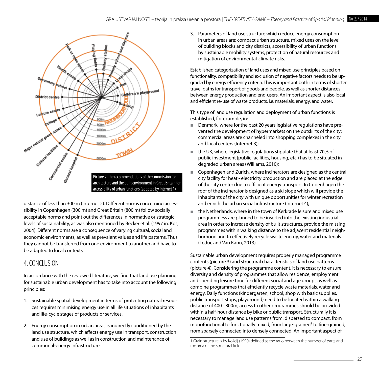

distance of less than 300 m (Internet 2). Different norms concerning accessibility in Copenhagen (300 m) and Great Britain (800 m) follow socially acceptable norms and point out the differences in normative or strategic levels of sustainability, as was also mentioned by Becker et al. (1997 in: Kos, thus allowing the inhabitant of the individual by becker of all (1997 in NOS, all allea in order to increase derisity<br>2004). Different norms are a consequence of varying cultural, social and programmes within walking dist economic environments, as well as prevalent values and life patterns. Thus horhood and to effectively recy they cannot be transferred from one environment to another and have to Gueduc and Van Kann, 2013). be adapted to local contexts.

#### 4. CONCLUSION

In accordance with the reviewed literature, we find that land use planning diversity and dens for sustainable urban development has to take into account the following non concumulation and c<br>principles:

- 1. Sustainable spatial development in terms of protecting natural resour- public transport stops, playground) ces requires minimising energy use in all life situations of inhabitants ces requires mimimising energy use in air ine<br>and life-cycle stages of products or services.
- 2. Energy consumption in urban areas is indirectly conditioned by the monofunctional to functionally mix land use structure, which affects energy use in transport, construction and use of buildings as well as in construction and maintenance of communal-energy infrastructure.

3. Parameters of land use structure which reduce energy consumption in urban areas are: compact urban structure, mixed uses on the level of building blocks and city districts, accessibility of urban functions by sustainable mobility systems, protection of natural resources and mitigation of environmental-climate risks.

Established categorization of land uses and mixed use principles based on functionality, compatibility and exclusion of negative factors needs to be upgraded by energy efficiency criteria. This is important both in terms of shorter travel paths for transport of goods and people, as well as shorter distances between energy production and end-users. An important aspect is also local and efficient re-use of waste products, i.e. materials, energy, and water.

This type of land use regulation and deployment of urban functions is established, for example, in:

- Denmark, where for the past 20 years legislative regulations have prevented the development of hypermarkets on the outskirts of the city; commercial areas are channeled into shopping complexes in the city and local centers (Internet 3);
- the UK, where legislative regulations stipulate that at least 70% of public investment (public facilities, housing, etc.) has to be situated in degraded urban areas (Williams, 2010);
- Copenhagen and Zürich, where incinerators are designed as the central city facility for heat - electricity production and are placed at the edge of the city center due to efficient energy transport. In Copenhagen the roof of the incinerator is designed as a ski slope which will provide the and enrich the urban social infrastructure (Internet 4);
- the Netherlands, where in the town of Kerkrade leisure and mixed use egic **come oprogrammess are planned to be inserted into the existing industrial** area in order to increase density of built structures, provide the missing programmes within walking distance to the adjacent residential neighborhood and to effectively recycle waste energy, water and materials (Leduc and Van Kann, 2013).

Sustainable urban development requires properly managed programme Sustainable urban development requires properly managed programme 4. CONCLUSION **State and exorternal characteristics of land use patterns** (picture 4). Considering the programme content, it is necessary to ensure diversity and density of programmes that allow residence, employment and spending leisure time for different social and age groups as well as combine programmes that efficiently recycle waste materials, water and energy. Daily functions (kindergarten, school, shop with basic supplies, public transport stops, playground) need to be located within a walking distance of 400 - 800m, access to other programmes should be provided within a half-hour distance by bike or public transport. Structurally it is necessary to manage land use patterns from: dispersed to compact, from monofunctional to functionally mixed, from large-grained<sup>1</sup> to fine-grained, from sparsely connected into densely connected. An important aspect of

<sup>1</sup> Grain structure is by Koželj (1990) defined as the ratio between the number of parts and the area of the structural field.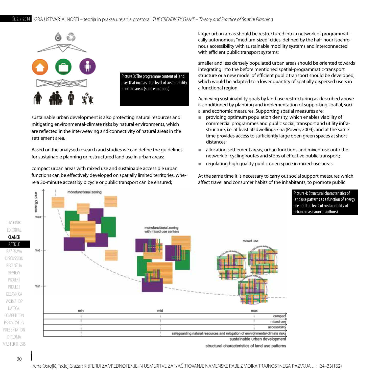

Picture 3: The programme content of land uses that increase the level of sustainability in urban areas (source: authors)

mitigating environmental-climate risks by natural environments, which commercial programmes and public are reflected in the interweaving and connectivity of natural areas in the sustainable urban development is also protecting natural resources and settlement area.

Based on the analysed research and studies we can define the guidelines for sustainable planning or restructured land use in urban areas:

compact urban areas with mixed use and sustainable accessible urban areas areas of sustainable accessible urban functions can be effectively developed on spatially limited territories, where a 30-minute access by bicycle or public transport can be ensured;

monofunctional zoning

nous accessibility with sustainable mobility systems and interconnected larger urban areas should be restructured into a network of programmatically autonomous "medium-sized" cities, defined by the half-hour isochrowith efficient public transport systems;

> smaller and less densely populated urban areas should be oriented towards integrating into the before mentioned spatial-programmatic-transport structure or a new model of efficient public transport should be developed, which would be adapted to a lower quantity of spatially dispersed users in a functional region.

> Achieving sustainability goals by land use restructuring as described above is conditioned by planning and implementation of supporting spatial, social and economic measures. Supporting spatial measures are:

- providing optimum population density, which enables viability of commercial programmes and public social, transport and utility infrastructure, i.e. at least 50 dwellings / ha (Power, 2004), and at the same time provides access to sufficiently large open green spaces at short distances;
- allocating settlement areas, urban functions and mixed-use onto the network of cycling routes and stops of effective public transport;
- regulating high quality public open space in mixed-use areas.

At the same time it is necessary to carry out social support measures which affect travel and consumer habits of the inhabitants, to promote public

> Picture 4: Structural characteristics of land use patterns as a function of energy use and the level of sustainability of urban areas (source: authors)



structural characteristics of land use patterns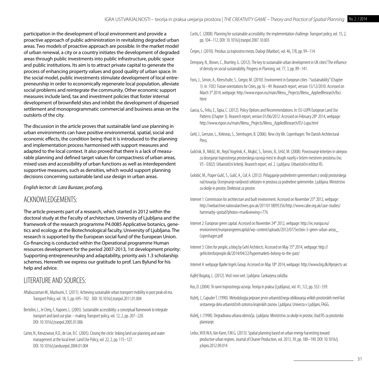participation in the development of local environment and provide a proactive approach of public administration in revitalizing degraded urban areas. Two models of proactive approach are possible. In the market model of urban renewal, a city or a country initiates the development of degraded areas through public investments into public infrastructure, public space and public institutions. Its aim is to attract private capital to generate the process of enhancing property values and good quality of urban space. In the social model, public investments stimulate development of local entrepreneurship in order to economically regenerate local population, alleviate social problems and reintegrate the community. Other economic support measures include land, tax and investment policies that foster internal development of brownfield sites and inhibit the development of dispersed settlement and monoprogrammatic commercial and business areas on the outskirts of the city.

The discussion in the article proves that sustainable land use planning in urban environments can have positive environmental, spatial, social and economic effects, the condition being that it is introduced to the planning and implementation process harmonised with support measures and adapted to the local context. It also proved that there is a lack of measurable planning and defined target values for compactness of urban areas, mixed uses and accessibility of urban functions as well as interdependent supportive measures, such as densities, which would support planning decisions concerning sustainable land use design in urban areas.

#### *English lector: dr. Lara Burazer, prof.ang.*

#### ACKNOWLEDGEMENTS:

The article presents part of a research, which started in 2012 within the doctoral study at the Faculty of architecture, University of Ljubljana and the framework of the research programme P4.0085 Applicative botanics, genetics and ecology at the Biotechnological faculty, University of Ljubljana. The research is supported by the European social fund of the European Union. Co-financing is conducted within the Operational programme Human resources development for the period 2007-2013, 1st development priority: Supporting entrepreneurship and adaptability, priority axis 1.3 scholarship schemes. Herewith we express our gratitude to prof. Lars Bylund for his help and advice.

#### LITERATURE AND SOURCES:

- Aftabuzzaman M., Mazloumi, E. (2011). Achieving sustainable urban transport mobility in post peak oil era. Transport Policy, vol. 18, 5, pp. 695–702. DOI: 10.1016/j.tranpol.2011.01.004
- Bertolini, L., le Clerq, F., Kapoen, L. (2005). Sustainable accessibility: a conceptual framework to integrate transport and land use plan – making. Transport policy, vol. 12, 2, pp. 207–220. DOI: 10.1016/j.tranpol.2005.01.006
- Carter, N., Kreutzwiser, R.D., de Loe, R.C. (2005). Closing the circle: linking land use planning and water management at the local level. Land Use Policy, vol. 22, 2, pp. 115–127. DOI: 10.1016/j.landusepol.2004.01.004
- Curtis, C. (2008). Planning for sustainable accessibility: the implementation challenge. Transport policy, vol. 15, 2, pp. 104–112. DOI: 10.1016/j.tranpol.2007.10.003
- Čerpes, I. (2010). Preizkus za trajnostno mesto. Dialogi (Maribor), vol. 46, 7/8, pp. 99–114.
- Dempsey, N., Brown, C., Bramley, G. (2012). The key to sustainable urban development in UK cities? The influence of density on social sustainability. Progress in Planning, vol. 77, 3, pp. 89–141.
- Fons, J., Simon, A., Kleeschulte, S., Gregor, M. (2010). Environment in European cities -"sustainability" (Chapter 1). In : FOCI: Future orientations for Cities, pp.16 - 49. Reasearch report, version 15/12/2010. Accessed on March 3<sup>rd</sup> 2014, webpage: [http://www.espon.eu/main/Menu\\_Projects/Menu\\_AppliedResearch/f](http://www.espon.eu/main/Menu_Projects/Menu_AppliedResearch/)oci. html
- Garcia, G., Feliu, E., Tapia, C. (2012). Policy Options and Recommendations. In: EU-LUPA European Land Use Patterns (Chapter 3). Reaserch report, version 01/06/2012. Accessed on February 28<sup>th</sup> 2014, webpage: http://www.espon.eu/main/Menu\_Projects/Menu\_AppliedResearch/EU-Lupa.html
- Gehl, J., Gemzoe, L., Kirkneas, S., Sternhagen, B. (2006). New city life. Copenhagen: The Danish Architectural Press
- Goličnik, B., Nikšič, M., Repič Vogelnik, K., Mujkić, S., Tominc, B., Uršič, M. (2008). Povezovanje kriterijev in ukrepov za doseganje trajnostnega prostorskega razvoja mest in drugih naselij v širšem mestnem prostorsu (no. V5 - 0302): Urbanistični kriteriji. Reaserch report, vol. 2. Ljubljana: Urbanistični inštitut RS.
- Golobič, M., Praper Gulič, S., Gulič, A., Cof, A. (2012). Prilagajanje podnebnim spremembam z orodji prostorskega načrtovanja: Ocenjevanje ranljivosti sektorjev in prostora za podnebne spremembe. Ljubljana: Ministrstvo za okolje in prostor, Direktorat za prostor.
- Internet 1: Commission for architecture and built environment. Accessed on November 25<sup>th</sup> 2012, webpage: <http://webarchive.nationalarchives.gov.uk/20110118095356/http://>[www.cabe.org.uk/case-studies/](http://www.cabe.org.uk/case-studies/hammarby-sjostad?photos=true&viewing=776) [hammarby-sjostad?photos=true&viewing=776](http://www.cabe.org.uk/case-studies/hammarby-sjostad?photos=true&viewing=776)
- Internet 2: European green capital. Accessed on November 24<sup>th</sup> 2012, webpage: http://ec.europa.eu/ environment/europeangreencapital/wp-content/uploads/2012/07/Section-3-green-urban-areas\_ Copenhagen.pdf
- Internet 3: Cities for people, a blog by Gehl Architects. Accessed on May 15<sup>th</sup> 2014, webpage: http:// gehlcitiesforpeople.dk/2014/04/22/hypermarkets-belong-to-the-past/
- Internet 4: webpage Bjarke Ingels Group. Accessed on May 18<sup>th</sup> 2014, webpage: http://www.big.dk/#projects-arc
- Kajfež Bogataj, L. (2012). Vroči novi svet. Ljubljana: Cankarjeva založba.
- Kos, D. (2004). Tri ravni trajnostnega razvoja. Teorija in praksa (Ljubljana), vol. 41, 1/2, pp. 332–339.
- Koželj, J., Capuder T. (1990). Metodologija priprave prvin urbanističnega oblikovanja velikih prostorskih meril kot sestavnega dela urbanističnih oziroma krajinskih zasnov. Ljubljana: Univerza v Ljubljani, FAGG.
- Koželj, J. (1998). Degradirana urbana območja. Ljubljana: Ministrstvo za okolje in prostor, Urad RS za prostorsko planiranje.
- Leduc, W.R.W.A, Van Kann, F.M.G. (2013). Spatial planning based on urban energy harvesting toward productive urban regions. Journal of Cleaner Production, vol. 2013, 39, pp. 180-190. DOI: 10.1016/j. jclepro.2012.09.014